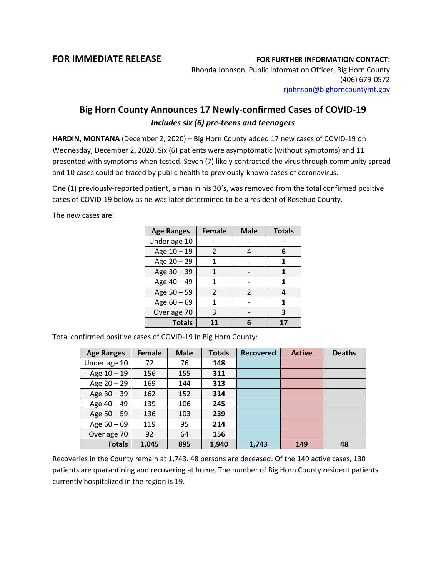## **FOR IMMEDIATE RELEASE FOR FURTHER INFORMATION CONTACT:**

Rhonda Johnson, Public Information Officer, Big Horn County (406) 679-0572 [rjohnson@bighorncountymt.gov](mailto:rjohnson@bighorncountymt.gov)

## **Big Horn County Announces 17 Newly-confirmed Cases of COVID-19** *Includes six (6) pre-teens and teenagers*

**HARDIN, MONTANA** (December 2, 2020) – Big Horn County added 17 new cases of COVID-19 on Wednesday, December 2, 2020. Six (6) patients were asymptomatic (without symptoms) and 11 presented with symptoms when tested. Seven (7) likely contracted the virus through community spread and 10 cases could be traced by public health to previously-known cases of coronavirus.

One (1) previously-reported patient, a man in his 30's, was removed from the total confirmed positive cases of COVID-19 below as he was later determined to be a resident of Rosebud County.

The new cases are:

| <b>Age Ranges</b> | <b>Female</b>  | <b>Male</b> | <b>Totals</b> |
|-------------------|----------------|-------------|---------------|
| Under age 10      |                |             |               |
| Age 10 - 19       | $\mathcal{L}$  |             | 6             |
| Age 20 - 29       | 1              |             | 1             |
| Age 30 - 39       |                |             | 1             |
| Age 40 - 49       | 1              |             | 1             |
| Age 50 - 59       | $\mathfrak{p}$ | C           | 4             |
| Age 60 - 69       | 1              |             | 1             |
| Over age 70       | 3              |             | 3             |
| <b>Totals</b>     | 11             |             | 17            |

Total confirmed positive cases of COVID-19 in Big Horn County:

| <b>Age Ranges</b> | Female | <b>Male</b> | <b>Totals</b> | <b>Recovered</b> | <b>Active</b> | <b>Deaths</b> |
|-------------------|--------|-------------|---------------|------------------|---------------|---------------|
| Under age 10      | 72     | 76          | 148           |                  |               |               |
| Age $10 - 19$     | 156    | 155         | 311           |                  |               |               |
| Age $20 - 29$     | 169    | 144         | 313           |                  |               |               |
| Age 30 - 39       | 162    | 152         | 314           |                  |               |               |
| Age 40 - 49       | 139    | 106         | 245           |                  |               |               |
| Age 50 - 59       | 136    | 103         | 239           |                  |               |               |
| Age $60 - 69$     | 119    | 95          | 214           |                  |               |               |
| Over age 70       | 92     | 64          | 156           |                  |               |               |
| <b>Totals</b>     | 1.045  | 895         | 1,940         | 1,743            | 149           | 48            |

Recoveries in the County remain at 1,743. 48 persons are deceased. Of the 149 active cases, 130 patients are quarantining and recovering at home. The number of Big Horn County resident patients currently hospitalized in the region is 19.